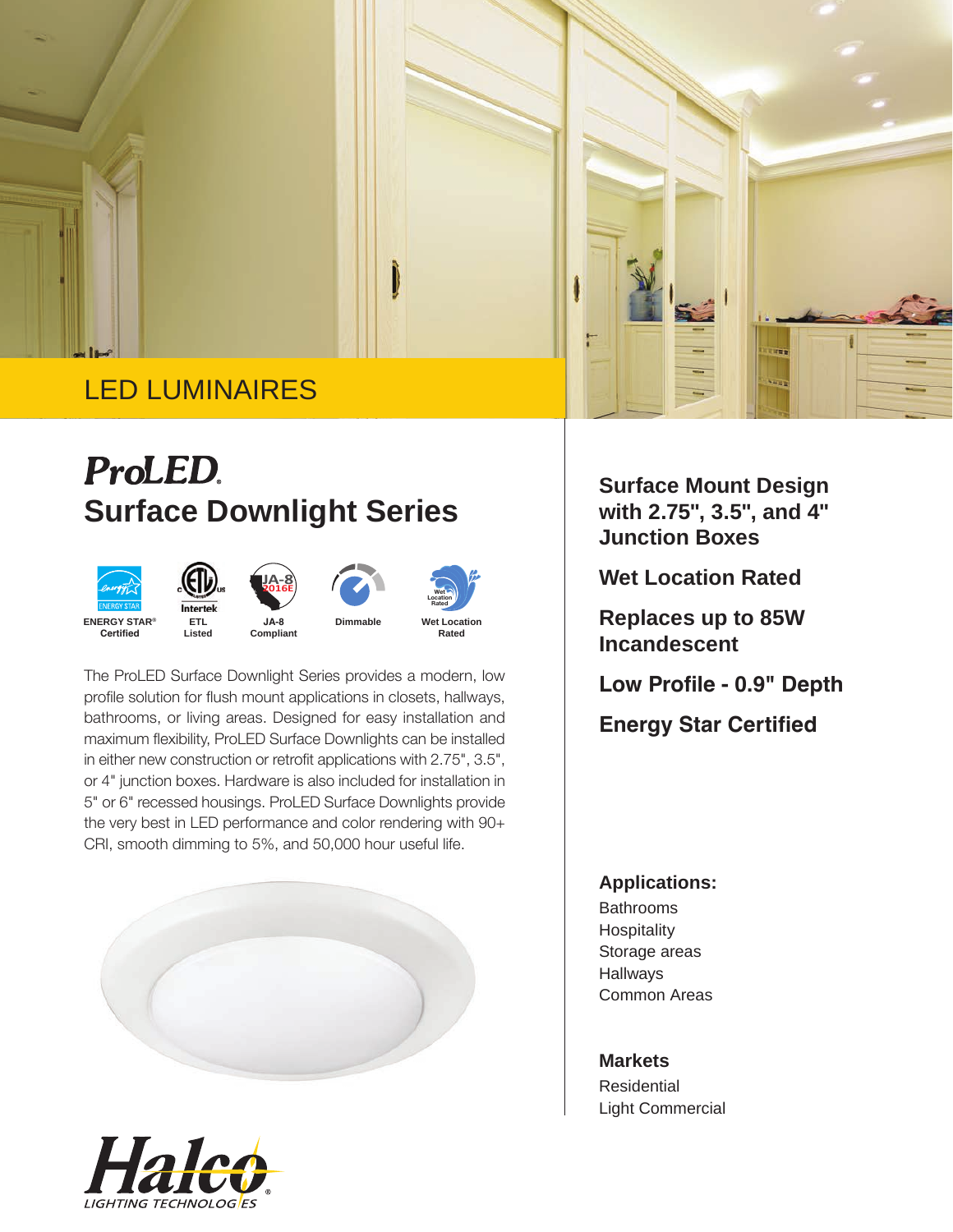

# **ProLED Surface Downlight Series**









The ProLED Surface Downlight Series provides a modern, low profile solution for flush mount applications in closets, hallways, bathrooms, or living areas. Designed for easy installation and maximum flexibility, ProLED Surface Downlights can be installed in either new construction or retrofit applications with 2.75", 3.5", or 4" junction boxes. Hardware is also included for installation in 5" or 6" recessed housings. ProLED Surface Downlights provide the very best in LED performance and color rendering with 90+ CRI, smooth dimming to 5%, and 50,000 hour useful life.





**Surface Mount Design with 2.75", 3.5", and 4" Junction Boxes**

**Wet Location Rated**

**Replaces up to 85W Incandescent**

**Low Profile - 0.9" Depth**

**Energy Star Certified**

## **Applications:**

Bathrooms Hospitality Storage areas Hallways Common Areas

**Markets Residential** Light Commercial